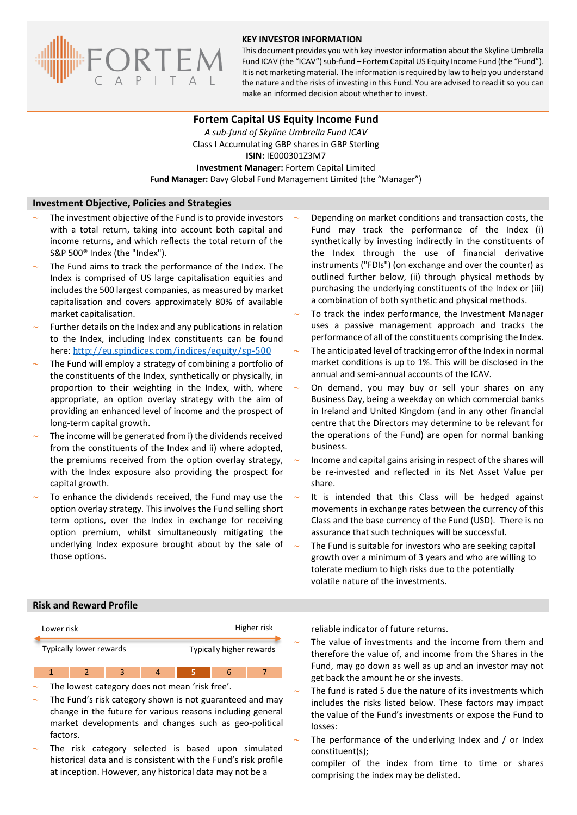

### **KEY INVESTOR INFORMATION**

This document provides you with key investor information about the Skyline Umbrella Fund ICAV (the "ICAV") sub-fund **–** Fortem Capital US Equity Income Fund (the "Fund"). It is not marketing material. The information is required by law to help you understand the nature and the risks of investing in this Fund. You are advised to read it so you can make an informed decision about whether to invest.

### **Fortem Capital US Equity Income Fund**

*A sub-fund of Skyline Umbrella Fund ICAV* Class I Accumulating GBP shares in GBP Sterling **ISIN:** IE000301Z3M7 **Investment Manager:** Fortem Capital Limited **Fund Manager:** Davy Global Fund Management Limited (the "Manager")

### **Investment Objective, Policies and Strategies**

- The investment objective of the Fund is to provide investors with a total return, taking into account both capital and income returns, and which reflects the total return of the S&P 500® Index (the "Index").
- The Fund aims to track the performance of the Index. The Index is comprised of US large capitalisation equities and includes the 500 largest companies, as measured by market capitalisation and covers approximately 80% of available market capitalisation.
- Further details on the Index and any publications in relation to the Index, including Index constituents can be found here: <http://eu.spindices.com/indices/equity/sp-500>
- The Fund will employ a strategy of combining a portfolio of the constituents of the Index, synthetically or physically, in proportion to their weighting in the Index, with, where appropriate, an option overlay strategy with the aim of providing an enhanced level of income and the prospect of long-term capital growth.
- The income will be generated from i) the dividends received from the constituents of the Index and ii) where adopted, the premiums received from the option overlay strategy, with the Index exposure also providing the prospect for capital growth.
- To enhance the dividends received, the Fund may use the option overlay strategy. This involves the Fund selling short term options, over the Index in exchange for receiving option premium, whilst simultaneously mitigating the underlying Index exposure brought about by the sale of those options.
- Depending on market conditions and transaction costs, the Fund may track the performance of the Index (i) synthetically by investing indirectly in the constituents of the Index through the use of financial derivative instruments ("FDIs") (on exchange and over the counter) as outlined further below, (ii) through physical methods by purchasing the underlying constituents of the Index or (iii) a combination of both synthetic and physical methods.
- To track the index performance, the Investment Manager uses a passive management approach and tracks the performance of all of the constituents comprising the Index.
- The anticipated level of tracking error of the Index in normal market conditions is up to 1%. This will be disclosed in the annual and semi-annual accounts of the ICAV.
- On demand, you may buy or sell your shares on any Business Day, being a weekday on which commercial banks in Ireland and United Kingdom (and in any other financial centre that the Directors may determine to be relevant for the operations of the Fund) are open for normal banking business.
- Income and capital gains arising in respect of the shares will be re-invested and reflected in its Net Asset Value per share.
- It is intended that this Class will be hedged against movements in exchange rates between the currency of this Class and the base currency of the Fund (USD). There is no assurance that such techniques will be successful.
- The Fund is suitable for investors who are seeking capital growth over a minimum of 3 years and who are willing to tolerate medium to high risks due to the potentially volatile nature of the investments.

# **Risk and Reward Profile**



- The lowest category does not mean 'risk free'.
- The Fund's risk category shown is not guaranteed and may change in the future for various reasons including general market developments and changes such as geo-political factors.
- The risk category selected is based upon simulated historical data and is consistent with the Fund's risk profile at inception. However, any historical data may not be a

reliable indicator of future returns.

- The value of investments and the income from them and therefore the value of, and income from the Shares in the Fund, may go down as well as up and an investor may not get back the amount he or she invests.
- The fund is rated 5 due the nature of its investments which includes the risks listed below. These factors may impact the value of the Fund's investments or expose the Fund to losses:
- The performance of the underlying Index and / or Index constituent(s);
	- compiler of the index from time to time or shares comprising the index may be delisted.